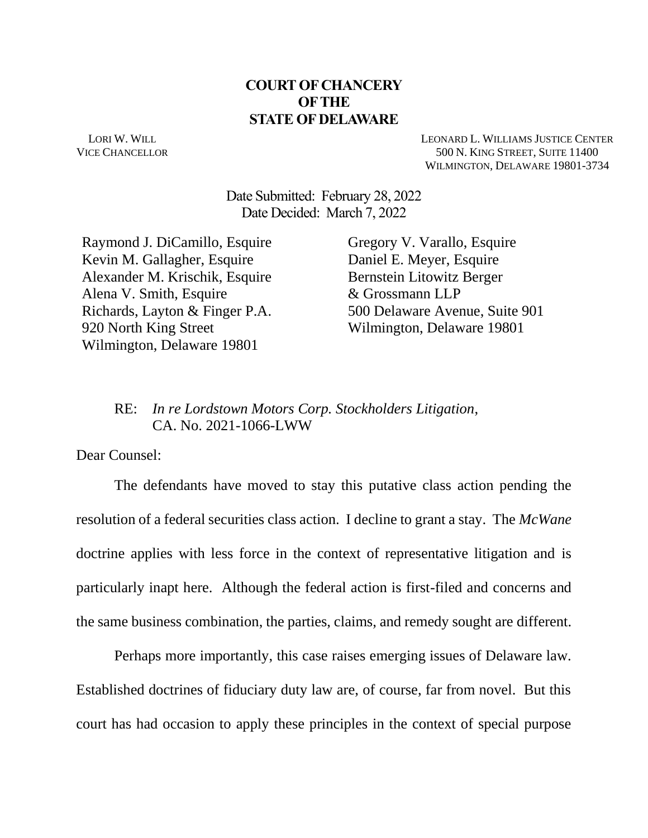### **COURT OF CHANCERY OF THE STATE OF DELAWARE**

LORI W. WILL VICE CHANCELLOR LEONARD L. WILLIAMS JUSTICE CENTER 500 N. KING STREET, SUITE 11400 WILMINGTON, DELAWARE 19801-3734

Date Submitted: February 28, 2022 Date Decided: March 7, 2022

Raymond J. DiCamillo, Esquire Kevin M. Gallagher, Esquire Alexander M. Krischik, Esquire Alena V. Smith, Esquire Richards, Layton & Finger P.A. 920 North King Street Wilmington, Delaware 19801

Gregory V. Varallo, Esquire Daniel E. Meyer, Esquire Bernstein Litowitz Berger & Grossmann LLP 500 Delaware Avenue, Suite 901 Wilmington, Delaware 19801

#### RE: *In re Lordstown Motors Corp. Stockholders Litigation*, CA. No. 2021-1066-LWW

Dear Counsel:

The defendants have moved to stay this putative class action pending the resolution of a federal securities class action. I decline to grant a stay. The *McWane*  doctrine applies with less force in the context of representative litigation and is particularly inapt here. Although the federal action is first-filed and concerns and the same business combination, the parties, claims, and remedy sought are different.

Perhaps more importantly, this case raises emerging issues of Delaware law. Established doctrines of fiduciary duty law are, of course, far from novel. But this court has had occasion to apply these principles in the context of special purpose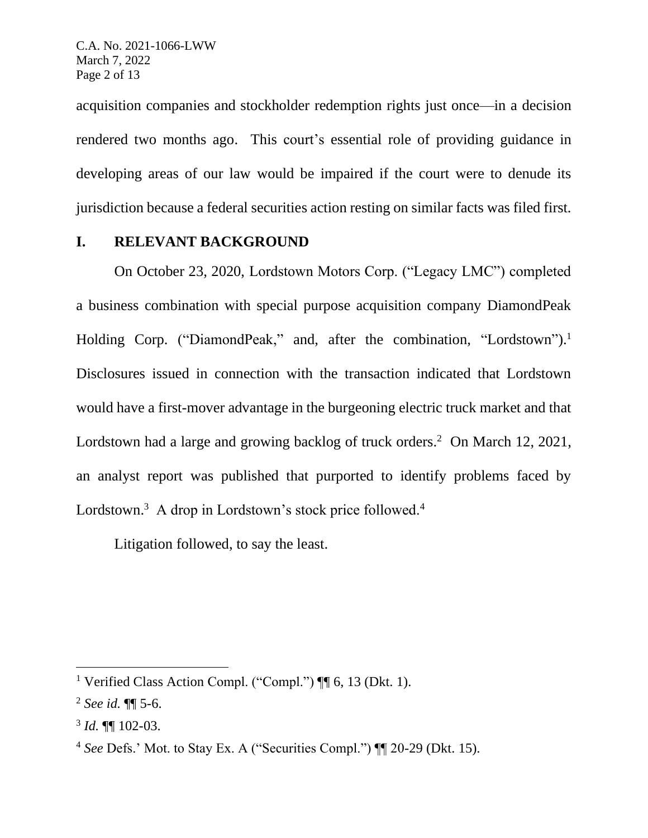acquisition companies and stockholder redemption rights just once—in a decision rendered two months ago. This court's essential role of providing guidance in developing areas of our law would be impaired if the court were to denude its jurisdiction because a federal securities action resting on similar facts was filed first.

### **I. RELEVANT BACKGROUND**

On October 23, 2020, Lordstown Motors Corp. ("Legacy LMC") completed a business combination with special purpose acquisition company DiamondPeak Holding Corp. ("DiamondPeak," and, after the combination, "Lordstown").<sup>1</sup> Disclosures issued in connection with the transaction indicated that Lordstown would have a first-mover advantage in the burgeoning electric truck market and that Lordstown had a large and growing backlog of truck orders.<sup>2</sup> On March 12, 2021, an analyst report was published that purported to identify problems faced by Lordstown.<sup>3</sup> A drop in Lordstown's stock price followed.<sup>4</sup>

Litigation followed, to say the least.

<sup>&</sup>lt;sup>1</sup> Verified Class Action Compl. ("Compl.")  $\P$  6, 13 (Dkt. 1).

<sup>2</sup> *See id.* ¶¶ 5-6.

<sup>3</sup> *Id.* ¶¶ 102-03.

<sup>4</sup> *See* Defs.' Mot. to Stay Ex. A ("Securities Compl.") ¶¶ 20-29 (Dkt. 15).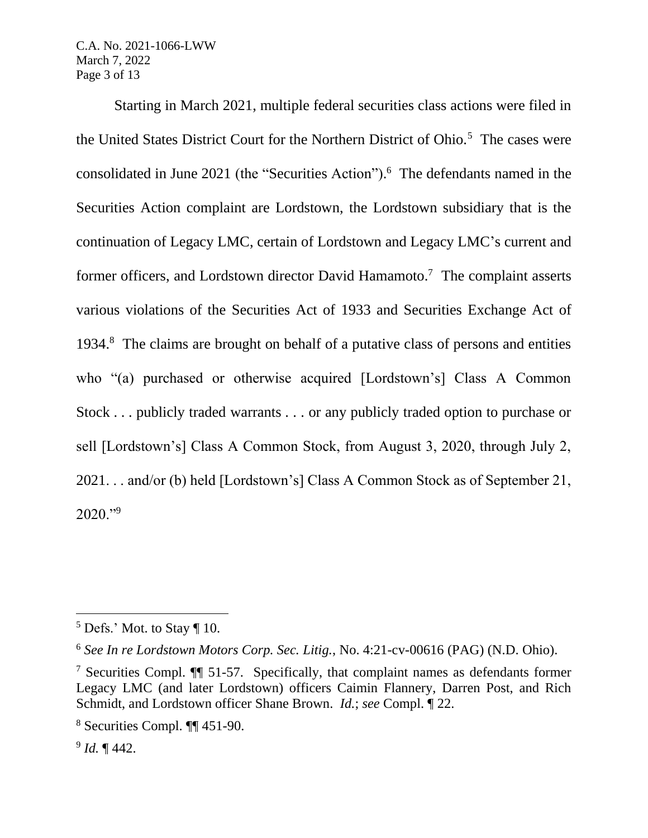C.A. No. 2021-1066-LWW March 7, 2022 Page 3 of 13

Starting in March 2021, multiple federal securities class actions were filed in the United States District Court for the Northern District of Ohio.<sup>5</sup> The cases were consolidated in June 2021 (the "Securities Action"). <sup>6</sup> The defendants named in the Securities Action complaint are Lordstown, the Lordstown subsidiary that is the continuation of Legacy LMC, certain of Lordstown and Legacy LMC's current and former officers, and Lordstown director David Hamamoto.<sup>7</sup> The complaint asserts various violations of the Securities Act of 1933 and Securities Exchange Act of 1934. <sup>8</sup> The claims are brought on behalf of a putative class of persons and entities who "(a) purchased or otherwise acquired [Lordstown's] Class A Common Stock . . . publicly traded warrants . . . or any publicly traded option to purchase or sell [Lordstown's] Class A Common Stock, from August 3, 2020, through July 2, 2021. . . and/or (b) held [Lordstown's] Class A Common Stock as of September 21,  $2020."$ <sup>9</sup>

 $5$  Defs.' Mot. to Stay  $\P$  10.

<sup>6</sup> *See In re Lordstown Motors Corp. Sec. Litig.*, No. 4:21-cv-00616 (PAG) (N.D. Ohio).

<sup>7</sup> Securities Compl. ¶¶ 51-57. Specifically, that complaint names as defendants former Legacy LMC (and later Lordstown) officers Caimin Flannery, Darren Post, and Rich Schmidt, and Lordstown officer Shane Brown. *Id.*; *see* Compl. ¶ 22.

<sup>8</sup> Securities Compl. ¶¶ 451-90.

<sup>9</sup> *Id.* ¶ 442.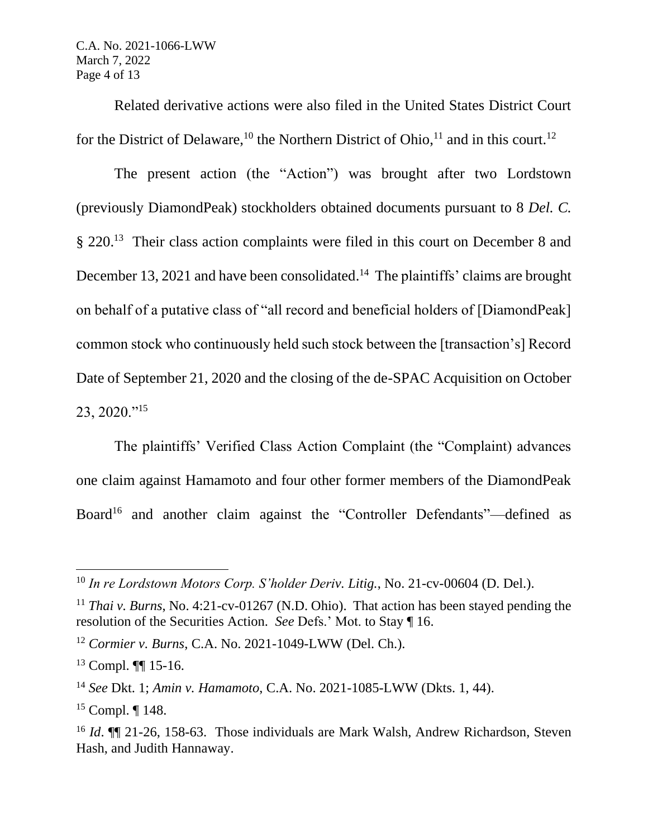C.A. No. 2021-1066-LWW March 7, 2022 Page 4 of 13

Related derivative actions were also filed in the United States District Court for the District of Delaware,<sup>10</sup> the Northern District of Ohio,<sup>11</sup> and in this court.<sup>12</sup>

The present action (the "Action") was brought after two Lordstown (previously DiamondPeak) stockholders obtained documents pursuant to 8 *Del. C.*  § 220.<sup>13</sup> Their class action complaints were filed in this court on December 8 and December 13, 2021 and have been consolidated.<sup>14</sup> The plaintiffs' claims are brought on behalf of a putative class of "all record and beneficial holders of [DiamondPeak] common stock who continuously held such stock between the [transaction's] Record Date of September 21, 2020 and the closing of the de-SPAC Acquisition on October 23, 2020."<sup>15</sup>

The plaintiffs' Verified Class Action Complaint (the "Complaint) advances one claim against Hamamoto and four other former members of the DiamondPeak Board<sup>16</sup> and another claim against the "Controller Defendants"—defined as

<sup>10</sup> *In re Lordstown Motors Corp. S'holder Deriv. Litig.*, No. 21-cv-00604 (D. Del.).

<sup>&</sup>lt;sup>11</sup> *Thai v. Burns*, No. 4:21-cv-01267 (N.D. Ohio). That action has been stayed pending the resolution of the Securities Action. *See* Defs.' Mot. to Stay ¶ 16.

<sup>12</sup> *Cormier v. Burns*, C.A. No. 2021-1049-LWW (Del. Ch.).

 $13$  Compl. **[1]** 15-16.

<sup>14</sup> *See* Dkt. 1; *Amin v. Hamamoto*, C.A. No. 2021-1085-LWW (Dkts. 1, 44).

<sup>15</sup> Compl. ¶ 148.

<sup>&</sup>lt;sup>16</sup> *Id*. **[16** *Id***. <b>[16** 21-26, 158-63. Those individuals are Mark Walsh, Andrew Richardson, Steven Hash, and Judith Hannaway.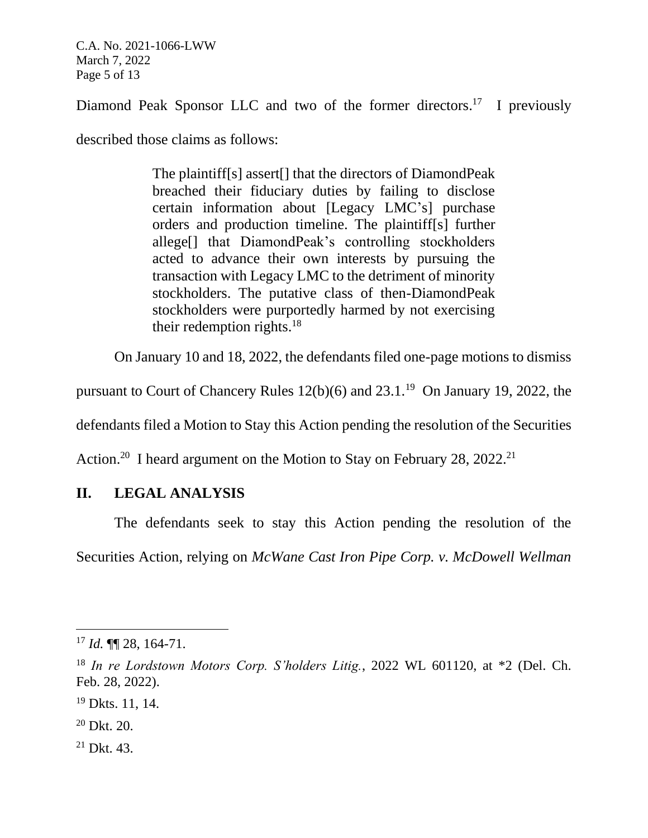C.A. No. 2021-1066-LWW March 7, 2022 Page 5 of 13

Diamond Peak Sponsor LLC and two of the former directors.<sup>17</sup> I previously

described those claims as follows:

The plaintiff[s] assert[] that the directors of DiamondPeak breached their fiduciary duties by failing to disclose certain information about [Legacy LMC's] purchase orders and production timeline. The plaintiff[s] further allege[] that DiamondPeak's controlling stockholders acted to advance their own interests by pursuing the transaction with Legacy LMC to the detriment of minority stockholders. The putative class of then-DiamondPeak stockholders were purportedly harmed by not exercising their redemption rights.<sup>18</sup>

On January 10 and 18, 2022, the defendants filed one-page motions to dismiss

pursuant to Court of Chancery Rules  $12(b)(6)$  and  $23.1<sup>19</sup>$  On January 19, 2022, the

defendants filed a Motion to Stay this Action pending the resolution of the Securities

Action.<sup>20</sup> I heard argument on the Motion to Stay on February 28, 2022.<sup>21</sup>

# **II. LEGAL ANALYSIS**

The defendants seek to stay this Action pending the resolution of the Securities Action, relying on *McWane Cast Iron Pipe Corp. v. McDowell Wellman* 

<sup>17</sup> *Id.* ¶¶ 28, 164-71.

<sup>18</sup> *In re Lordstown Motors Corp. S'holders Litig.*, 2022 WL 601120, at \*2 (Del. Ch. Feb. 28, 2022).

<sup>19</sup> Dkts. 11, 14.

 $20$  Dkt.  $20$ .

 $21$  Dkt. 43.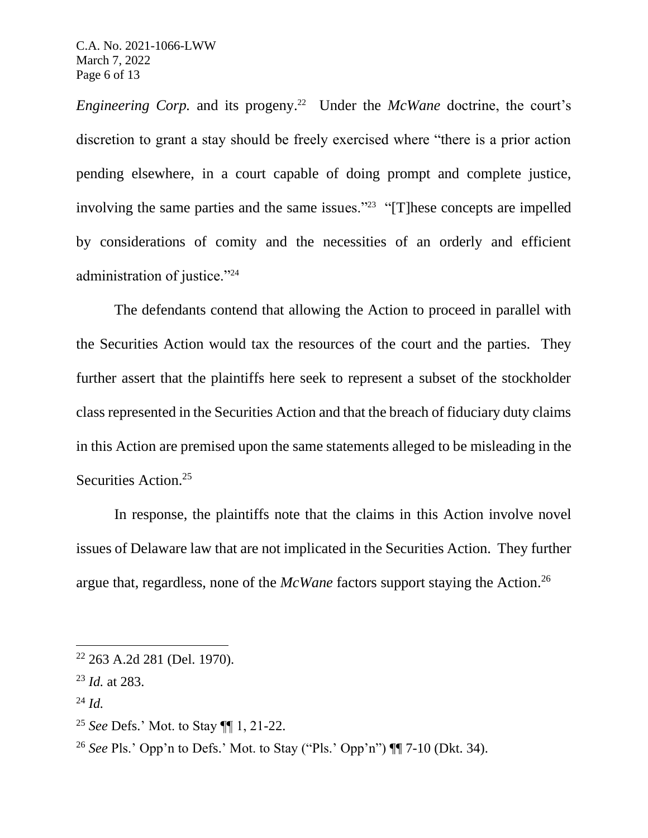C.A. No. 2021-1066-LWW March 7, 2022 Page 6 of 13

*Engineering Corp.* and its progeny.<sup>22</sup> Under the *McWane* doctrine, the court's discretion to grant a stay should be freely exercised where "there is a prior action pending elsewhere, in a court capable of doing prompt and complete justice, involving the same parties and the same issues."<sup>23</sup> "[T]hese concepts are impelled by considerations of comity and the necessities of an orderly and efficient administration of justice."<sup>24</sup>

The defendants contend that allowing the Action to proceed in parallel with the Securities Action would tax the resources of the court and the parties. They further assert that the plaintiffs here seek to represent a subset of the stockholder class represented in the Securities Action and that the breach of fiduciary duty claims in this Action are premised upon the same statements alleged to be misleading in the Securities Action.<sup>25</sup>

In response, the plaintiffs note that the claims in this Action involve novel issues of Delaware law that are not implicated in the Securities Action. They further argue that, regardless, none of the *McWane* factors support staying the Action.<sup>26</sup>

<sup>24</sup> *Id.*

 $22$  263 A.2d 281 (Del. 1970).

<sup>23</sup> *Id.* at 283.

<sup>25</sup> *See* Defs.' Mot. to Stay ¶¶ 1, 21-22.

<sup>26</sup> *See* Pls.' Opp'n to Defs.' Mot. to Stay ("Pls.' Opp'n") ¶¶ 7-10 (Dkt. 34).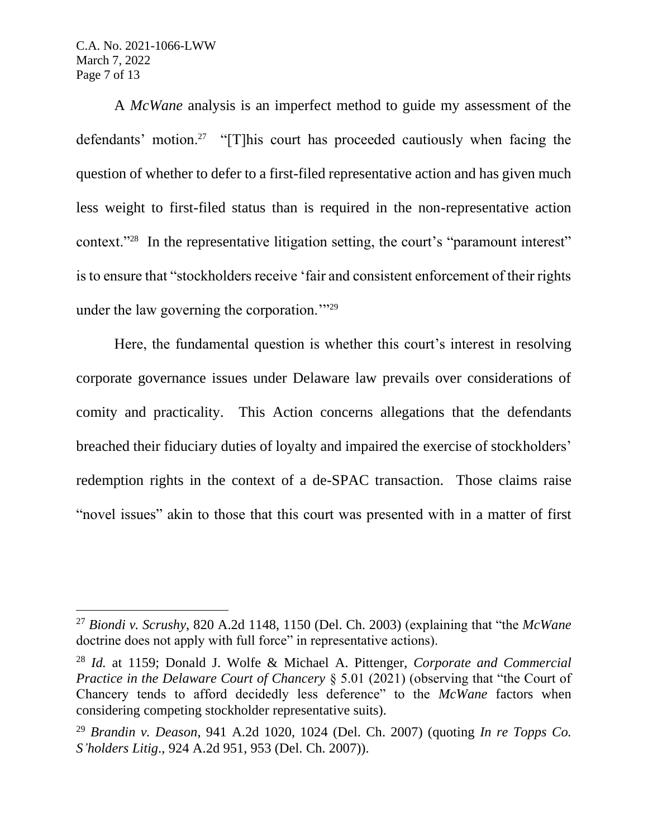C.A. No. 2021-1066-LWW March 7, 2022 Page 7 of 13

A *McWane* analysis is an imperfect method to guide my assessment of the defendants' motion.<sup>27</sup> "[T]his court has proceeded cautiously when facing the question of whether to defer to a first-filed representative action and has given much less weight to first-filed status than is required in the non-representative action context."<sup>28</sup> In the representative litigation setting, the court's "paramount interest" is to ensure that "stockholders receive 'fair and consistent enforcement of their rights under the law governing the corporation."<sup>29</sup>

Here, the fundamental question is whether this court's interest in resolving corporate governance issues under Delaware law prevails over considerations of comity and practicality. This Action concerns allegations that the defendants breached their fiduciary duties of loyalty and impaired the exercise of stockholders' redemption rights in the context of a de-SPAC transaction. Those claims raise "novel issues" akin to those that this court was presented with in a matter of first

<sup>27</sup> *Biondi v. Scrushy*, 820 A.2d 1148, 1150 (Del. Ch. 2003) (explaining that "the *McWane* doctrine does not apply with full force" in representative actions).

<sup>28</sup> *Id.* at 1159; Donald J. Wolfe & Michael A. Pittenger, *Corporate and Commercial Practice in the Delaware Court of Chancery* § 5.01 (2021) (observing that "the Court of Chancery tends to afford decidedly less deference" to the *McWane* factors when considering competing stockholder representative suits).

<sup>29</sup> *Brandin v. Deason*, 941 A.2d 1020, 1024 (Del. Ch. 2007) (quoting *In re Topps Co. S'holders Litig*., 924 A.2d 951, 953 (Del. Ch. 2007)).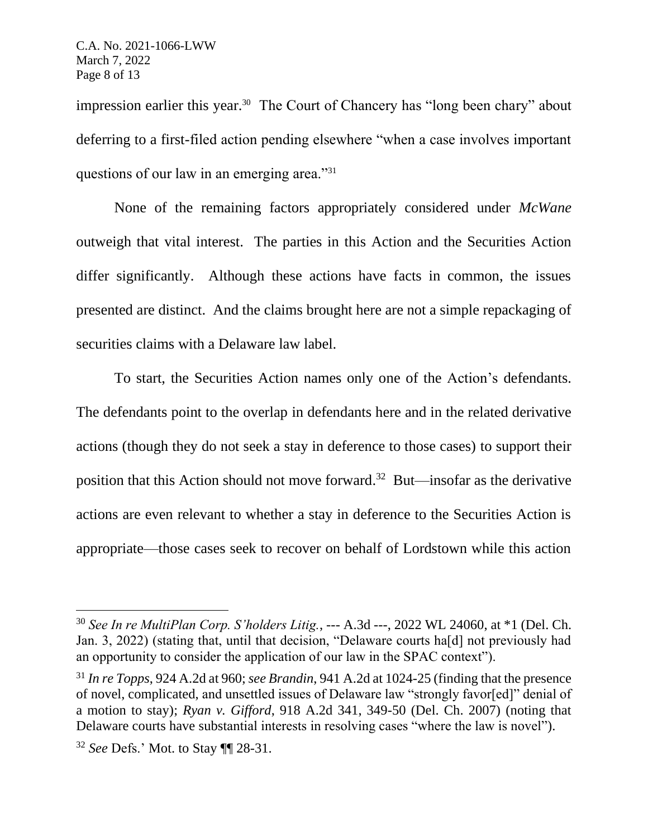impression earlier this year.<sup>30</sup> The Court of Chancery has "long been chary" about deferring to a first-filed action pending elsewhere "when a case involves important questions of our law in an emerging area."<sup>31</sup>

None of the remaining factors appropriately considered under *McWane* outweigh that vital interest. The parties in this Action and the Securities Action differ significantly. Although these actions have facts in common, the issues presented are distinct. And the claims brought here are not a simple repackaging of securities claims with a Delaware law label.

To start, the Securities Action names only one of the Action's defendants. The defendants point to the overlap in defendants here and in the related derivative actions (though they do not seek a stay in deference to those cases) to support their position that this Action should not move forward. 32 But—insofar as the derivative actions are even relevant to whether a stay in deference to the Securities Action is appropriate—those cases seek to recover on behalf of Lordstown while this action

<sup>30</sup> *See In re MultiPlan Corp. S'holders Litig.*, --- A.3d ---, 2022 WL 24060, at \*1 (Del. Ch. Jan. 3, 2022) (stating that, until that decision, "Delaware courts ha[d] not previously had an opportunity to consider the application of our law in the SPAC context").

<sup>31</sup> *In re Topps*, 924 A.2d at 960; *see Brandin*, 941 A.2d at 1024-25 (finding that the presence of novel, complicated, and unsettled issues of Delaware law "strongly favor[ed]" denial of a motion to stay); *Ryan v. Gifford*, 918 A.2d 341, 349-50 (Del. Ch. 2007) (noting that Delaware courts have substantial interests in resolving cases "where the law is novel").

<sup>32</sup> *See* Defs.' Mot. to Stay ¶¶ 28-31.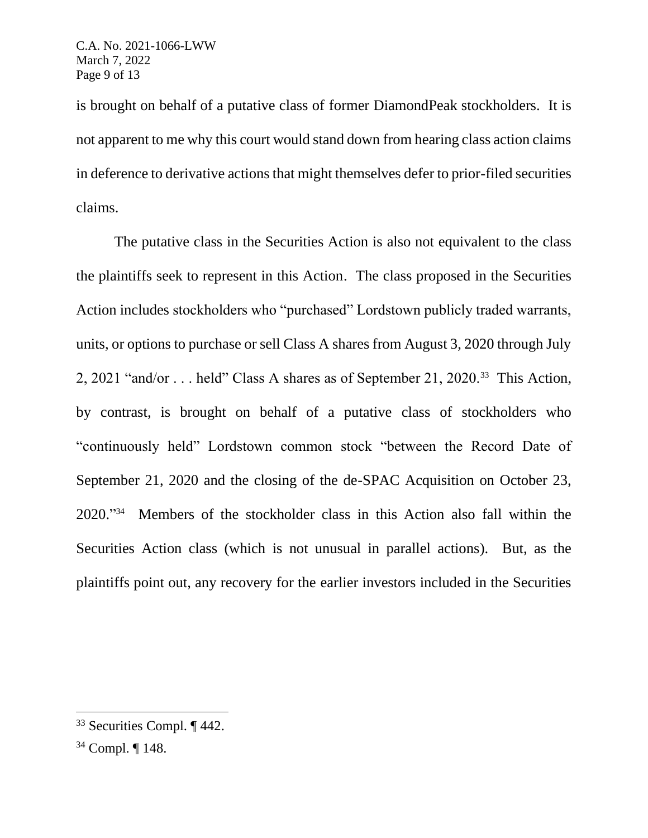is brought on behalf of a putative class of former DiamondPeak stockholders. It is not apparent to me why this court would stand down from hearing class action claims in deference to derivative actions that might themselves defer to prior-filed securities claims.

The putative class in the Securities Action is also not equivalent to the class the plaintiffs seek to represent in this Action. The class proposed in the Securities Action includes stockholders who "purchased" Lordstown publicly traded warrants, units, or options to purchase or sell Class A shares from August 3, 2020 through July 2, 2021 "and/or . . . held" Class A shares as of September 21, 2020.<sup>33</sup> This Action, by contrast, is brought on behalf of a putative class of stockholders who "continuously held" Lordstown common stock "between the Record Date of September 21, 2020 and the closing of the de-SPAC Acquisition on October 23, 2020." 34 Members of the stockholder class in this Action also fall within the Securities Action class (which is not unusual in parallel actions). But, as the plaintiffs point out, any recovery for the earlier investors included in the Securities

 $33$  Securities Compl.  $\P$  442.

<sup>34</sup> Compl. ¶ 148.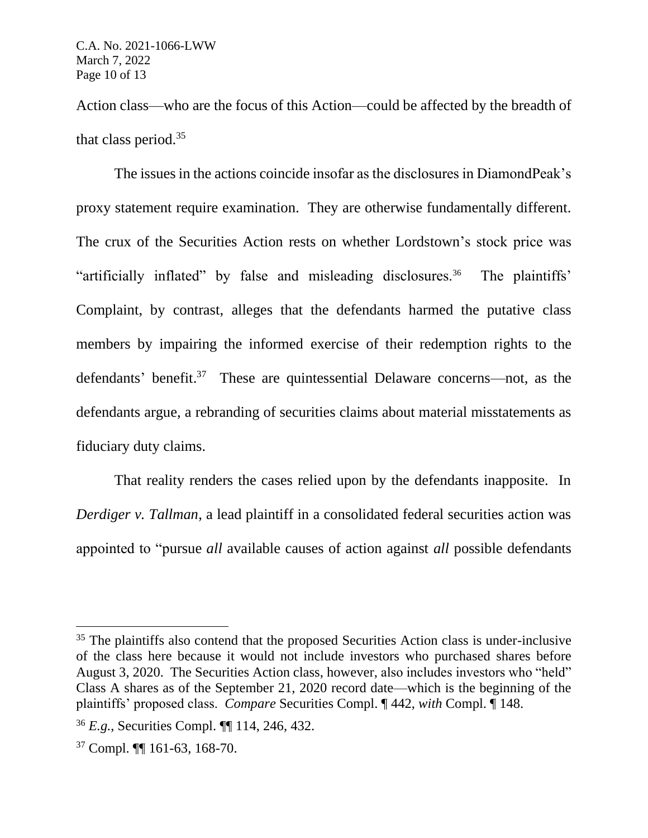Action class—who are the focus of this Action—could be affected by the breadth of that class period.<sup>35</sup>

The issues in the actions coincide insofar as the disclosures in DiamondPeak's proxy statement require examination. They are otherwise fundamentally different. The crux of the Securities Action rests on whether Lordstown's stock price was "artificially inflated" by false and misleading disclosures.<sup>36</sup> The plaintiffs' Complaint, by contrast, alleges that the defendants harmed the putative class members by impairing the informed exercise of their redemption rights to the defendants' benefit.<sup>37</sup> These are quintessential Delaware concerns—not, as the defendants argue, a rebranding of securities claims about material misstatements as fiduciary duty claims.

That reality renders the cases relied upon by the defendants inapposite. In *Derdiger v. Tallman*, a lead plaintiff in a consolidated federal securities action was appointed to "pursue *all* available causes of action against *all* possible defendants

<sup>&</sup>lt;sup>35</sup> The plaintiffs also contend that the proposed Securities Action class is under-inclusive of the class here because it would not include investors who purchased shares before August 3, 2020. The Securities Action class, however, also includes investors who "held" Class A shares as of the September 21, 2020 record date—which is the beginning of the plaintiffs' proposed class. *Compare* Securities Compl. ¶ 442, *with* Compl. ¶ 148.

<sup>36</sup> *E.g.*, Securities Compl. ¶¶ 114, 246, 432.

<sup>37</sup> Compl. ¶¶ 161-63, 168-70.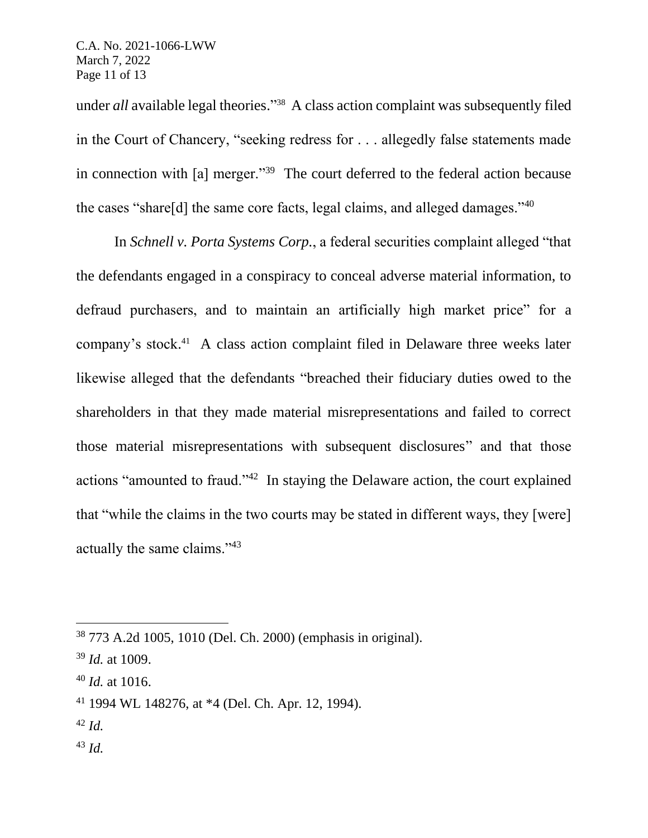under *all* available legal theories." 38 A class action complaint was subsequently filed in the Court of Chancery, "seeking redress for . . . allegedly false statements made in connection with [a] merger."<sup>39</sup> The court deferred to the federal action because the cases "share[d] the same core facts, legal claims, and alleged damages." $40$ 

In *Schnell v. Porta Systems Corp.*, a federal securities complaint alleged "that the defendants engaged in a conspiracy to conceal adverse material information, to defraud purchasers, and to maintain an artificially high market price" for a company's stock. 41 A class action complaint filed in Delaware three weeks later likewise alleged that the defendants "breached their fiduciary duties owed to the shareholders in that they made material misrepresentations and failed to correct those material misrepresentations with subsequent disclosures" and that those actions "amounted to fraud."<sup>42</sup> In staying the Delaware action, the court explained that "while the claims in the two courts may be stated in different ways, they [were] actually the same claims."<sup>43</sup>

- <sup>42</sup> *Id.*
- <sup>43</sup> *Id.*

<sup>38</sup> 773 A.2d 1005, 1010 (Del. Ch. 2000) (emphasis in original).

<sup>39</sup> *Id.* at 1009.

<sup>40</sup> *Id.* at 1016.

<sup>41</sup> 1994 WL 148276, at \*4 (Del. Ch. Apr. 12, 1994).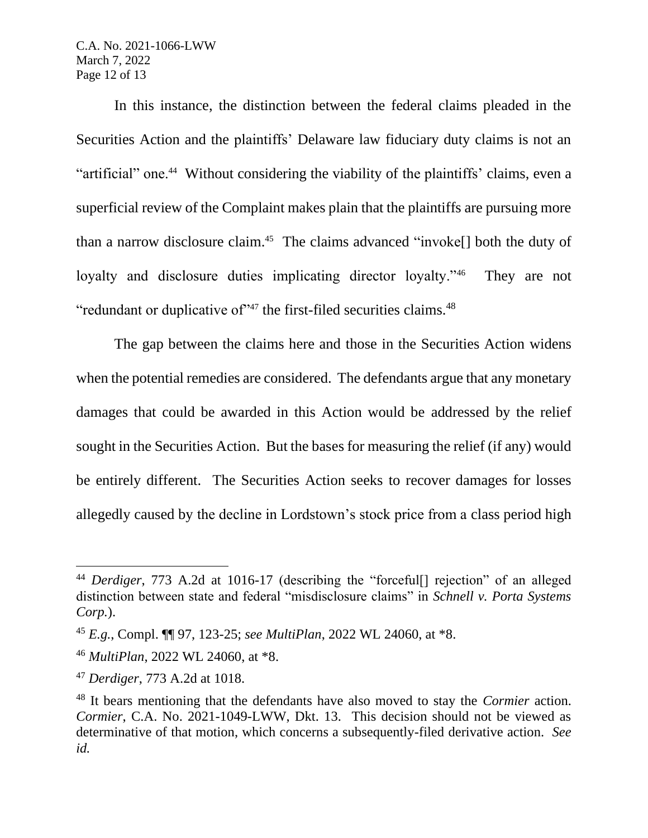C.A. No. 2021-1066-LWW March 7, 2022 Page 12 of 13

In this instance, the distinction between the federal claims pleaded in the Securities Action and the plaintiffs' Delaware law fiduciary duty claims is not an "artificial" one.<sup>44</sup> Without considering the viability of the plaintiffs' claims, even a superficial review of the Complaint makes plain that the plaintiffs are pursuing more than a narrow disclosure claim.<sup>45</sup> The claims advanced "invoke<sup>[]</sup> both the duty of loyalty and disclosure duties implicating director loyalty."<sup>46</sup> They are not "redundant or duplicative of"<sup>47</sup> the first-filed securities claims.<sup>48</sup>

The gap between the claims here and those in the Securities Action widens when the potential remedies are considered. The defendants argue that any monetary damages that could be awarded in this Action would be addressed by the relief sought in the Securities Action. But the bases for measuring the relief (if any) would be entirely different. The Securities Action seeks to recover damages for losses allegedly caused by the decline in Lordstown's stock price from a class period high

<sup>44</sup> *Derdiger*, 773 A.2d at 1016-17 (describing the "forceful[] rejection" of an alleged distinction between state and federal "misdisclosure claims" in *Schnell v. Porta Systems Corp.*).

<sup>45</sup> *E.g.*, Compl. ¶¶ 97, 123-25; *see MultiPlan*, 2022 WL 24060, at \*8.

<sup>46</sup> *MultiPlan*, 2022 WL 24060, at \*8.

<sup>47</sup> *Derdiger*, 773 A.2d at 1018.

<sup>48</sup> It bears mentioning that the defendants have also moved to stay the *Cormier* action. *Cormier*, C.A. No. 2021-1049-LWW, Dkt. 13. This decision should not be viewed as determinative of that motion, which concerns a subsequently-filed derivative action. *See id.*